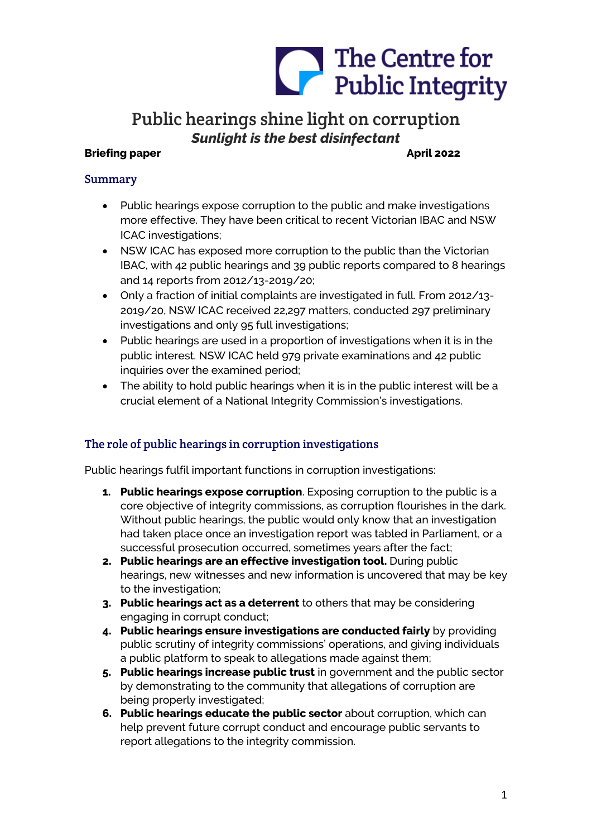# The Centre for<br>Public Integrity

# Public hearings shine light on corruption *Sunlight is the best disinfectant*

# **Briefing paper April 2022**

## Summary

- Public hearings expose corruption to the public and make investigations more effective. They have been critical to recent Victorian IBAC and NSW ICAC investigations;
- NSW ICAC has exposed more corruption to the public than the Victorian IBAC, with 42 public hearings and 39 public reports compared to 8 hearings and 14 reports from 2012/13-2019/20;
- Only a fraction of initial complaints are investigated in full. From 2012/13- 2019/20, NSW ICAC received 22,297 matters, conducted 297 preliminary investigations and only 95 full investigations;
- Public hearings are used in a proportion of investigations when it is in the public interest. NSW ICAC held 979 private examinations and 42 public inquiries over the examined period;
- The ability to hold public hearings when it is in the public interest will be a crucial element of a National Integrity Commission's investigations.

# The role of public hearings in corruption investigations

Public hearings fulfil important functions in corruption investigations:

- **1. Public hearings expose corruption**. Exposing corruption to the public is a core objective of integrity commissions, as corruption flourishes in the dark. Without public hearings, the public would only know that an investigation had taken place once an investigation report was tabled in Parliament, or a successful prosecution occurred, sometimes years after the fact;
- **2. Public hearings are an effective investigation tool.** During public hearings, new witnesses and new information is uncovered that may be key to the investigation;
- **3. Public hearings act as a deterrent** to others that may be considering engaging in corrupt conduct;
- **4. Public hearings ensure investigations are conducted fairly** by providing public scrutiny of integrity commissions' operations, and giving individuals a public platform to speak to allegations made against them;
- **5. Public hearings increase public trust** in government and the public sector by demonstrating to the community that allegations of corruption are being properly investigated;
- **6. Public hearings educate the public sector** about corruption, which can help prevent future corrupt conduct and encourage public servants to report allegations to the integrity commission.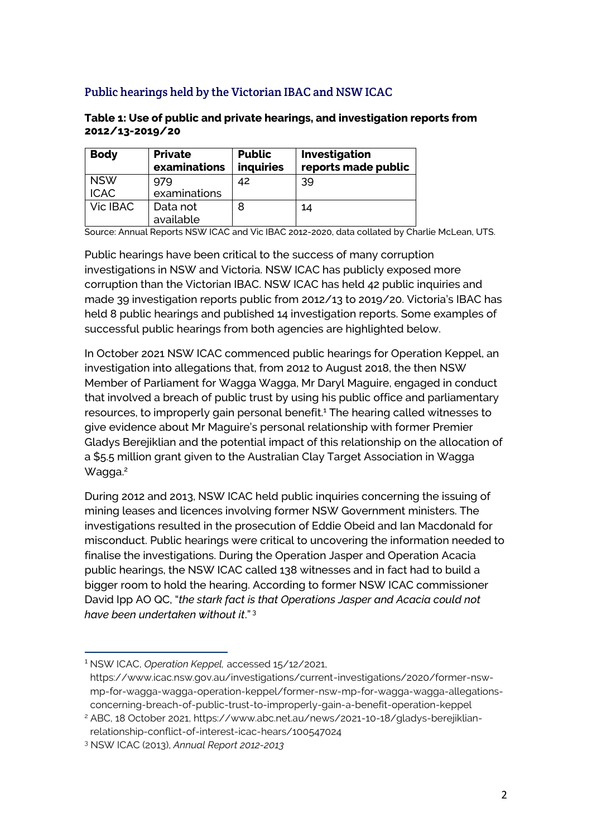# Public hearings held by the Victorian IBAC and NSW ICAC

#### **Table 1: Use of public and private hearings, and investigation reports from 2012/13-2019/20**

| <b>Body</b>               | <b>Private</b><br>examinations | <b>Public</b><br>inquiries | Investigation<br>reports made public |
|---------------------------|--------------------------------|----------------------------|--------------------------------------|
| <b>NSW</b><br><b>ICAC</b> | 979<br>examinations            | 42                         | 39                                   |
| Vic IBAC                  | Data not<br>available          | 8                          | 14                                   |

Source: Annual Reports NSW ICAC and Vic IBAC 2012-2020, data collated by Charlie McLean, UTS.

Public hearings have been critical to the success of many corruption investigations in NSW and Victoria. NSW ICAC has publicly exposed more corruption than the Victorian IBAC. NSW ICAC has held 42 public inquiries and made 39 investigation reports public from 2012/13 to 2019/20. Victoria's IBAC has held 8 public hearings and published 14 investigation reports. Some examples of successful public hearings from both agencies are highlighted below.

In October 2021 NSW ICAC commenced public hearings for Operation Keppel, an investigation into allegations that, from 2012 to August 2018, the then NSW Member of Parliament for Wagga Wagga, Mr Daryl Maguire, engaged in conduct that involved a breach of public trust by using his public office and parliamentary resources, to improperly gain personal benefit.<sup>1</sup> The hearing called witnesses to give evidence about Mr Maguire's personal relationship with former Premier Gladys Berejiklian and the potential impact of this relationship on the allocation of a \$5.5 million grant given to the Australian Clay Target Association in Wagga Wagga.<sup>2</sup>

During 2012 and 2013, NSW ICAC held public inquiries concerning the issuing of mining leases and licences involving former NSW Government ministers. The investigations resulted in the prosecution of Eddie Obeid and Ian Macdonald for misconduct. Public hearings were critical to uncovering the information needed to finalise the investigations. During the Operation Jasper and Operation Acacia public hearings, the NSW ICAC called 138 witnesses and in fact had to build a bigger room to hold the hearing. According to former NSW ICAC commissioner David Ipp AO QC, "*the stark fact is that Operations Jasper and Acacia could not have been undertaken without it*." <sup>3</sup>

1

<sup>1</sup> NSW ICAC, *Operation Keppel,* accessed 15/12/2021,

https://www.icac.nsw.gov.au/investigations/current-investigations/2020/former-nswmp-for-wagga-wagga-operation-keppel/former-nsw-mp-for-wagga-wagga-allegationsconcerning-breach-of-public-trust-to-improperly-gain-a-benefit-operation-keppel

<sup>2</sup> ABC, 18 October 2021, https://www.abc.net.au/news/2021-10-18/gladys-berejiklianrelationship-conflict-of-interest-icac-hears/100547024

<sup>3</sup> NSW ICAC (2013), *Annual Report 2012-2013*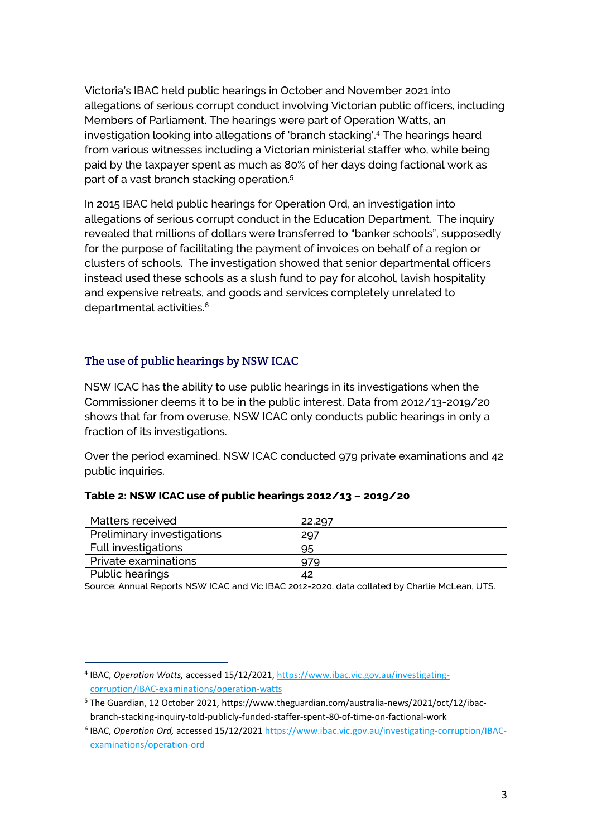Victoria's IBAC held public hearings in October and November 2021 into allegations of serious corrupt conduct involving Victorian public officers, including Members of Parliament. The hearings were part of Operation Watts, an investigation looking into allegations of 'branch stacking'.<sup>4</sup> The hearings heard from various witnesses including a Victorian ministerial staffer who, while being paid by the taxpayer spent as much as 80% of her days doing factional work as part of a vast branch stacking operation.<sup>5</sup>

In 2015 IBAC held public hearings for Operation Ord, an investigation into allegations of serious corrupt conduct in the Education Department. The inquiry revealed that millions of dollars were transferred to "banker schools", supposedly for the purpose of facilitating the payment of invoices on behalf of a region or clusters of schools. The investigation showed that senior departmental officers instead used these schools as a slush fund to pay for alcohol, lavish hospitality and expensive retreats, and goods and services completely unrelated to departmental activities.<sup>6</sup>

# The use of public hearings by NSW ICAC

1

NSW ICAC has the ability to use public hearings in its investigations when the Commissioner deems it to be in the public interest. Data from 2012/13-2019/20 shows that far from overuse, NSW ICAC only conducts public hearings in only a fraction of its investigations.

Over the period examined, NSW ICAC conducted 979 private examinations and 42 public inquiries.

| Matters received           | 22,297 |
|----------------------------|--------|
| Preliminary investigations | 297    |
| Full investigations        | 95     |
| Private examinations       | 979    |
| Public hearings            | 42     |

#### **Table 2: NSW ICAC use of public hearings 2012/13 – 2019/20**

Source: Annual Reports NSW ICAC and Vic IBAC 2012-2020, data collated by Charlie McLean, UTS.

<sup>&</sup>lt;sup>4</sup> IBAC, *Operation Watts*, accessed 15/12/2021[, https://www.ibac.vic.gov.au/investigating](https://www.ibac.vic.gov.au/investigating-corruption/IBAC-examinations/operation-watts)[corruption/IBAC-examinations/operation-watts](https://www.ibac.vic.gov.au/investigating-corruption/IBAC-examinations/operation-watts)

<sup>5</sup> The Guardian, 12 October 2021, https://www.theguardian.com/australia-news/2021/oct/12/ibacbranch-stacking-inquiry-told-publicly-funded-staffer-spent-80-of-time-on-factional-work

<sup>&</sup>lt;sup>6</sup> IBAC, *Operation Ord,* accessed 15/12/2021 [https://www.ibac.vic.gov.au/investigating-corruption/IBAC](https://www.ibac.vic.gov.au/investigating-corruption/IBAC-examinations/operation-ord)[examinations/operation-ord](https://www.ibac.vic.gov.au/investigating-corruption/IBAC-examinations/operation-ord)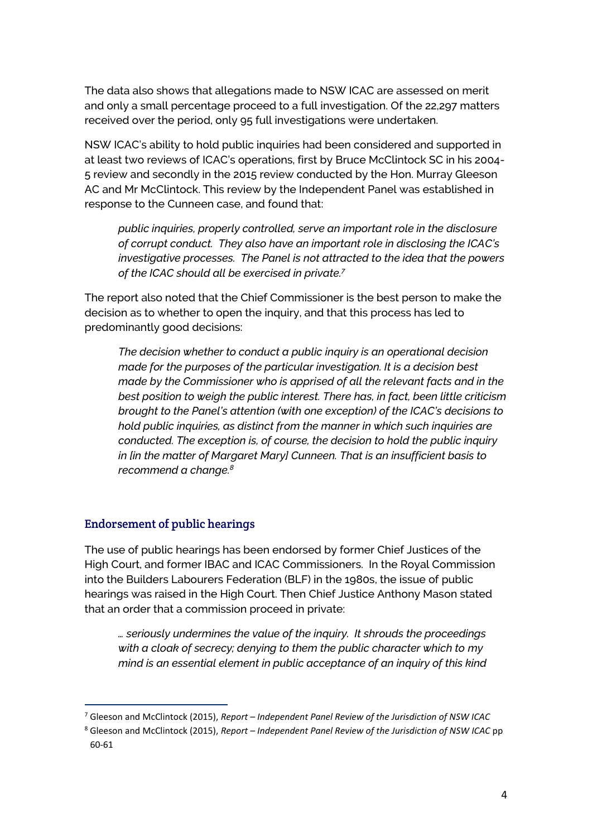The data also shows that allegations made to NSW ICAC are assessed on merit and only a small percentage proceed to a full investigation. Of the 22,297 matters received over the period, only 95 full investigations were undertaken.

NSW ICAC's ability to hold public inquiries had been considered and supported in at least two reviews of ICAC's operations, first by Bruce McClintock SC in his 2004- 5 review and secondly in the 2015 review conducted by the Hon. Murray Gleeson AC and Mr McClintock. This review by the Independent Panel was established in response to the Cunneen case, and found that:

*public inquiries, properly controlled, serve an important role in the disclosure of corrupt conduct. They also have an important role in disclosing the ICAC's investigative processes. The Panel is not attracted to the idea that the powers of the ICAC should all be exercised in private.<sup>7</sup>*

The report also noted that the Chief Commissioner is the best person to make the decision as to whether to open the inquiry, and that this process has led to predominantly good decisions:

*The decision whether to conduct a public inquiry is an operational decision made for the purposes of the particular investigation. It is a decision best made by the Commissioner who is apprised of all the relevant facts and in the best position to weigh the public interest. There has, in fact, been little criticism brought to the Panel's attention (with one exception) of the ICAC's decisions to hold public inquiries, as distinct from the manner in which such inquiries are conducted. The exception is, of course, the decision to hold the public inquiry in [in the matter of Margaret Mary] Cunneen. That is an insufficient basis to recommend a change.<sup>8</sup>*

### Endorsement of public hearings

1

The use of public hearings has been endorsed by former Chief Justices of the High Court, and former IBAC and ICAC Commissioners. In the Royal Commission into the Builders Labourers Federation (BLF) in the 1980s, the issue of public hearings was raised in the High Court. Then Chief Justice Anthony Mason stated that an order that a commission proceed in private:

*… seriously undermines the value of the inquiry. It shrouds the proceedings with a cloak of secrecy; denying to them the public character which to my mind is an essential element in public acceptance of an inquiry of this kind* 

<sup>7</sup> Gleeson and McClintock (2015), *Report – Independent Panel Review of the Jurisdiction of NSW ICAC*

<sup>8</sup> Gleeson and McClintock (2015), *Report – Independent Panel Review of the Jurisdiction of NSW ICAC* pp 60-61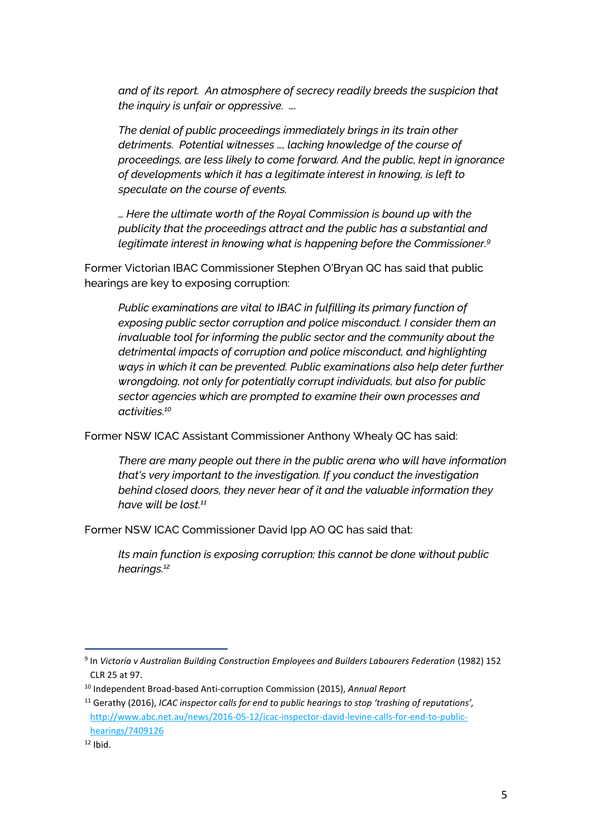*and of its report. An atmosphere of secrecy readily breeds the suspicion that the inquiry is unfair or oppressive. ….*

*The denial of public proceedings immediately brings in its train other detriments. Potential witnesses …, lacking knowledge of the course of proceedings, are less likely to come forward. And the public, kept in ignorance of developments which it has a legitimate interest in knowing, is left to speculate on the course of events.*

*… Here the ultimate worth of the Royal Commission is bound up with the publicity that the proceedings attract and the public has a substantial and legitimate interest in knowing what is happening before the Commissioner.<sup>9</sup>*

Former Victorian IBAC Commissioner Stephen O'Bryan QC has said that public hearings are key to exposing corruption:

*Public examinations are vital to IBAC in fulfilling its primary function of exposing public sector corruption and police misconduct. I consider them an invaluable tool for informing the public sector and the community about the detrimental impacts of corruption and police misconduct, and highlighting ways in which it can be prevented. Public examinations also help deter further wrongdoing, not only for potentially corrupt individuals, but also for public sector agencies which are prompted to examine their own processes and activities.<sup>10</sup>*

Former NSW ICAC Assistant Commissioner Anthony Whealy QC has said:

*There are many people out there in the public arena who will have information that's very important to the investigation. If you conduct the investigation behind closed doors, they never hear of it and the valuable information they have will be lost. 11*

Former NSW ICAC Commissioner David Ipp AO QC has said that:

*Its main function is exposing corruption; this cannot be done without public hearings. 12*

1

<sup>&</sup>lt;sup>9</sup> In Victoria v Australian Building Construction Employees and Builders Labourers Federation (1982) 152 CLR 25 at 97.

<sup>10</sup> Independent Broad-based Anti-corruption Commission (2015), *Annual Report*

<sup>11</sup> Gerathy (2016), *ICAC inspector calls for end to public hearings to stop 'trashing of reputations',*  [http://www.abc.net.au/news/2016-05-12/icac-inspector-david-levine-calls-for-end-to-public](http://www.abc.net.au/news/2016-05-12/icac-inspector-david-levine-calls-for-end-to-public-hearings/7409126)[hearings/7409126](http://www.abc.net.au/news/2016-05-12/icac-inspector-david-levine-calls-for-end-to-public-hearings/7409126)

 $12$  Ibid.